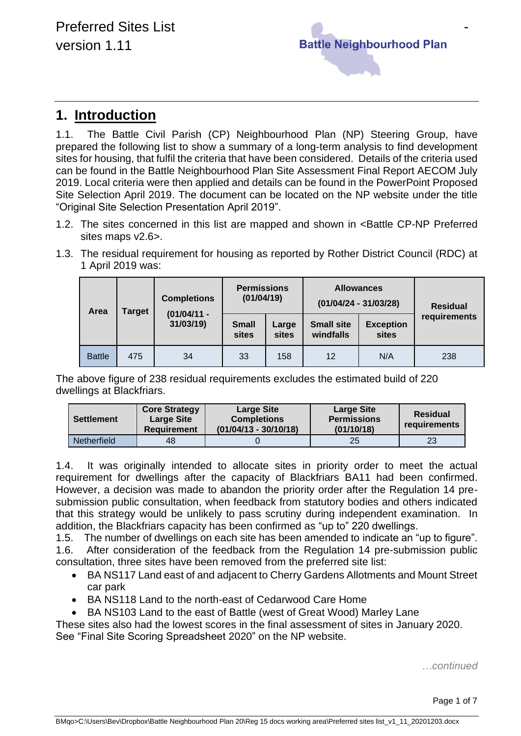

## **1. Introduction**

1.1. The Battle Civil Parish (CP) Neighbourhood Plan (NP) Steering Group, have prepared the following list to show a summary of a long-term analysis to find development sites for housing, that fulfil the criteria that have been considered. Details of the criteria used can be found in the Battle Neighbourhood Plan Site Assessment Final Report AECOM July 2019. Local criteria were then applied and details can be found in the PowerPoint Proposed Site Selection April 2019. The document can be located on the NP website under the title "Original Site Selection Presentation April 2019".

- 1.2. The sites concerned in this list are mapped and shown in <Battle CP-NP Preferred sites maps v2.6>.
- 1.3. The residual requirement for housing as reported by Rother District Council (RDC) at 1 April 2019 was:

| Area          | <b>Target</b> | <b>Completions</b><br>$(01/04/11 -$<br>31/03/19) | <b>Permissions</b><br>(01/04/19) |                | <b>Allowances</b><br>$(01/04/24 - 31/03/28)$ |                           | <b>Residual</b> |
|---------------|---------------|--------------------------------------------------|----------------------------------|----------------|----------------------------------------------|---------------------------|-----------------|
|               |               |                                                  | <b>Small</b><br>sites            | Large<br>sites | <b>Small site</b><br>windfalls               | <b>Exception</b><br>sites | requirements    |
| <b>Battle</b> | 475           | 34                                               | 33                               | 158            | 12                                           | N/A                       | 238             |

The above figure of 238 residual requirements excludes the estimated build of 220 dwellings at Blackfriars.

| <b>Settlement</b> | <b>Core Strategy</b><br><b>Large Site</b><br><b>Requirement</b> | <b>Large Site</b><br><b>Completions</b><br>$(01/04/13 - 30/10/18)$ | <b>Large Site</b><br><b>Permissions</b><br>(01/10/18) | <b>Residual</b><br>requirements |
|-------------------|-----------------------------------------------------------------|--------------------------------------------------------------------|-------------------------------------------------------|---------------------------------|
| Netherfield       | 48                                                              |                                                                    | 25                                                    | 23                              |

1.4. It was originally intended to allocate sites in priority order to meet the actual requirement for dwellings after the capacity of Blackfriars BA11 had been confirmed. However, a decision was made to abandon the priority order after the Regulation 14 presubmission public consultation, when feedback from statutory bodies and others indicated that this strategy would be unlikely to pass scrutiny during independent examination. In addition, the Blackfriars capacity has been confirmed as "up to" 220 dwellings.

1.5. The number of dwellings on each site has been amended to indicate an "up to figure". 1.6. After consideration of the feedback from the Regulation 14 pre-submission public consultation, three sites have been removed from the preferred site list:

- BA NS117 Land east of and adjacent to Cherry Gardens Allotments and Mount Street car park
- BA NS118 Land to the north-east of Cedarwood Care Home
- BA NS103 Land to the east of Battle (west of Great Wood) Marley Lane

These sites also had the lowest scores in the final assessment of sites in January 2020. See "Final Site Scoring Spreadsheet 2020" on the NP website.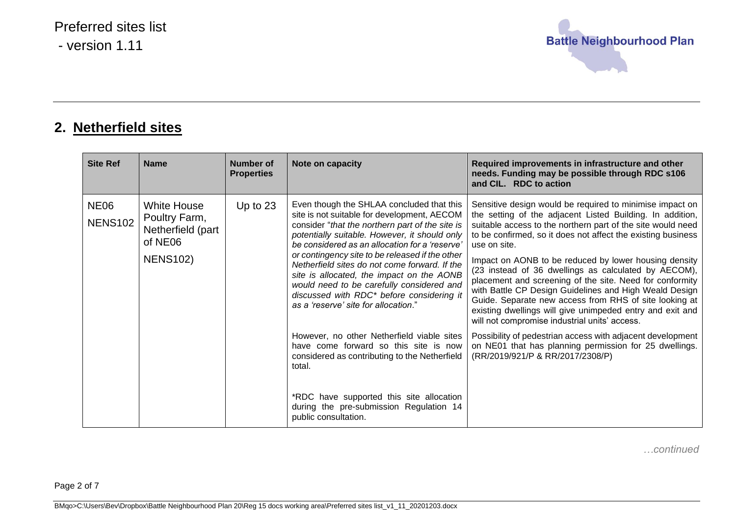

## **2. Netherfield sites**

| <b>Site Ref</b>               | <b>Name</b>                                                                            | Number of<br><b>Properties</b> | Note on capacity                                                                                                                                                                                                                                                                                                                                                                                                                                                                                                                  | Required improvements in infrastructure and other<br>needs. Funding may be possible through RDC s106<br>and CIL. RDC to action                                                                                                                                                                                                                                                                                                                                                                                                                                                                                                                                                      |
|-------------------------------|----------------------------------------------------------------------------------------|--------------------------------|-----------------------------------------------------------------------------------------------------------------------------------------------------------------------------------------------------------------------------------------------------------------------------------------------------------------------------------------------------------------------------------------------------------------------------------------------------------------------------------------------------------------------------------|-------------------------------------------------------------------------------------------------------------------------------------------------------------------------------------------------------------------------------------------------------------------------------------------------------------------------------------------------------------------------------------------------------------------------------------------------------------------------------------------------------------------------------------------------------------------------------------------------------------------------------------------------------------------------------------|
| <b>NE06</b><br><b>NENS102</b> | <b>White House</b><br>Poultry Farm,<br>Netherfield (part<br>of NE06<br><b>NENS102)</b> | Up to $23$                     | Even though the SHLAA concluded that this<br>site is not suitable for development, AECOM<br>consider "that the northern part of the site is<br>potentially suitable. However, it should only<br>be considered as an allocation for a 'reserve'<br>or contingency site to be released if the other<br>Netherfield sites do not come forward. If the<br>site is allocated, the impact on the AONB<br>would need to be carefully considered and<br>discussed with RDC* before considering it<br>as a 'reserve' site for allocation." | Sensitive design would be required to minimise impact on<br>the setting of the adjacent Listed Building. In addition,<br>suitable access to the northern part of the site would need<br>to be confirmed, so it does not affect the existing business<br>use on site.<br>Impact on AONB to be reduced by lower housing density<br>(23 instead of 36 dwellings as calculated by AECOM),<br>placement and screening of the site. Need for conformity<br>with Battle CP Design Guidelines and High Weald Design<br>Guide. Separate new access from RHS of site looking at<br>existing dwellings will give unimpeded entry and exit and<br>will not compromise industrial units' access. |
|                               |                                                                                        |                                | However, no other Netherfield viable sites<br>have come forward so this site is now<br>considered as contributing to the Netherfield<br>total.<br>*RDC have supported this site allocation<br>during the pre-submission Regulation 14<br>public consultation.                                                                                                                                                                                                                                                                     | Possibility of pedestrian access with adjacent development<br>on NE01 that has planning permission for 25 dwellings.<br>(RR/2019/921/P & RR/2017/2308/P)                                                                                                                                                                                                                                                                                                                                                                                                                                                                                                                            |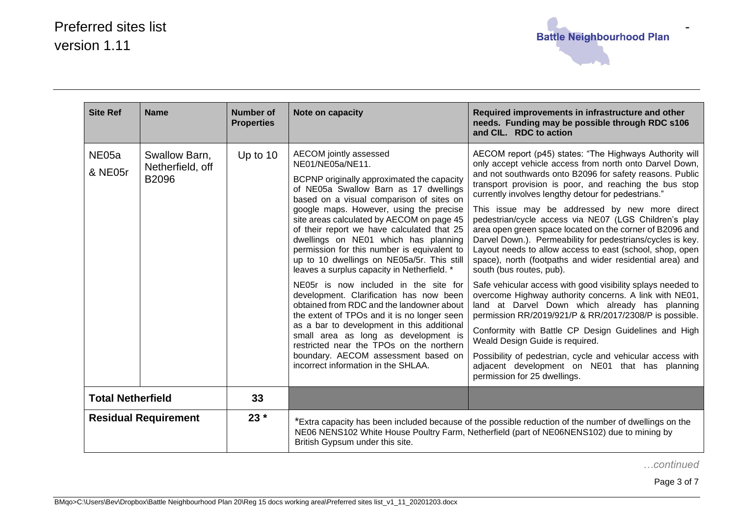

| <b>Site Ref</b>                       | <b>Name</b>                                | <b>Number of</b><br><b>Properties</b> | Note on capacity                                                                                                                                                                                                                                                                                                                                                                                                                                                                                                                                                                                                                                                                                                                                                                                                                                                                                        | Required improvements in infrastructure and other<br>needs. Funding may be possible through RDC s106<br>and CIL. RDC to action                                                                                                                                                                                                                                                                                                                                                                                                                                                                                                                                                                                                                                                                                                                                                                                                                                                                                                                                                                                                                                           |
|---------------------------------------|--------------------------------------------|---------------------------------------|---------------------------------------------------------------------------------------------------------------------------------------------------------------------------------------------------------------------------------------------------------------------------------------------------------------------------------------------------------------------------------------------------------------------------------------------------------------------------------------------------------------------------------------------------------------------------------------------------------------------------------------------------------------------------------------------------------------------------------------------------------------------------------------------------------------------------------------------------------------------------------------------------------|--------------------------------------------------------------------------------------------------------------------------------------------------------------------------------------------------------------------------------------------------------------------------------------------------------------------------------------------------------------------------------------------------------------------------------------------------------------------------------------------------------------------------------------------------------------------------------------------------------------------------------------------------------------------------------------------------------------------------------------------------------------------------------------------------------------------------------------------------------------------------------------------------------------------------------------------------------------------------------------------------------------------------------------------------------------------------------------------------------------------------------------------------------------------------|
| NE05a<br>& NE05r                      | Swallow Barn,<br>Netherfield, off<br>B2096 | Up to $10$                            | AECOM jointly assessed<br>NE01/NE05a/NE11.<br>BCPNP originally approximated the capacity<br>of NE05a Swallow Barn as 17 dwellings<br>based on a visual comparison of sites on<br>google maps. However, using the precise<br>site areas calculated by AECOM on page 45<br>of their report we have calculated that 25<br>dwellings on NE01 which has planning<br>permission for this number is equivalent to<br>up to 10 dwellings on NE05a/5r. This still<br>leaves a surplus capacity in Netherfield. *<br>NE05r is now included in the site for<br>development. Clarification has now been<br>obtained from RDC and the landowner about<br>the extent of TPOs and it is no longer seen<br>as a bar to development in this additional<br>small area as long as development is<br>restricted near the TPOs on the northern<br>boundary. AECOM assessment based on<br>incorrect information in the SHLAA. | AECOM report (p45) states: "The Highways Authority will<br>only accept vehicle access from north onto Darvel Down,<br>and not southwards onto B2096 for safety reasons. Public<br>transport provision is poor, and reaching the bus stop<br>currently involves lengthy detour for pedestrians."<br>This issue may be addressed by new more direct<br>pedestrian/cycle access via NE07 (LGS Children's play<br>area open green space located on the corner of B2096 and<br>Darvel Down.). Permeability for pedestrians/cycles is key.<br>Layout needs to allow access to east (school, shop, open<br>space), north (footpaths and wider residential area) and<br>south (bus routes, pub).<br>Safe vehicular access with good visibility splays needed to<br>overcome Highway authority concerns. A link with NE01,<br>land at Darvel Down which already has planning<br>permission RR/2019/921/P & RR/2017/2308/P is possible.<br>Conformity with Battle CP Design Guidelines and High<br>Weald Design Guide is required.<br>Possibility of pedestrian, cycle and vehicular access with<br>adjacent development on NE01 that has planning<br>permission for 25 dwellings. |
| 33<br><b>Total Netherfield</b>        |                                            |                                       |                                                                                                                                                                                                                                                                                                                                                                                                                                                                                                                                                                                                                                                                                                                                                                                                                                                                                                         |                                                                                                                                                                                                                                                                                                                                                                                                                                                                                                                                                                                                                                                                                                                                                                                                                                                                                                                                                                                                                                                                                                                                                                          |
| $23 *$<br><b>Residual Requirement</b> |                                            |                                       | *Extra capacity has been included because of the possible reduction of the number of dwellings on the<br>NE06 NENS102 White House Poultry Farm, Netherfield (part of NE06NENS102) due to mining by<br>British Gypsum under this site.                                                                                                                                                                                                                                                                                                                                                                                                                                                                                                                                                                                                                                                                   |                                                                                                                                                                                                                                                                                                                                                                                                                                                                                                                                                                                                                                                                                                                                                                                                                                                                                                                                                                                                                                                                                                                                                                          |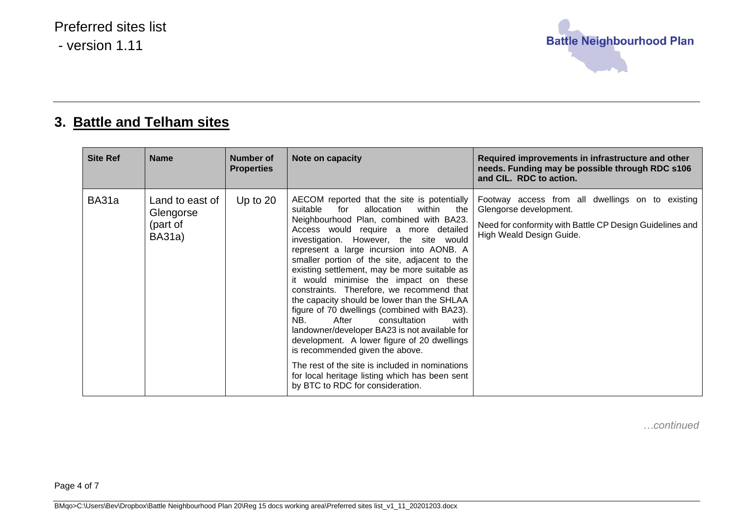

## **3. Battle and Telham sites**

| <b>Site Ref</b> | <b>Name</b>                                               | Number of<br><b>Properties</b> | Note on capacity                                                                                                                                                                                                                                                                                                                                                                                                                                                                                                                                                                                                                                                                                                                                                                                                                                                                | Required improvements in infrastructure and other<br>needs. Funding may be possible through RDC s106<br>and CIL. RDC to action.                                    |
|-----------------|-----------------------------------------------------------|--------------------------------|---------------------------------------------------------------------------------------------------------------------------------------------------------------------------------------------------------------------------------------------------------------------------------------------------------------------------------------------------------------------------------------------------------------------------------------------------------------------------------------------------------------------------------------------------------------------------------------------------------------------------------------------------------------------------------------------------------------------------------------------------------------------------------------------------------------------------------------------------------------------------------|--------------------------------------------------------------------------------------------------------------------------------------------------------------------|
| BA31a           | Land to east of<br>Glengorse<br>(part of<br><b>BA31a)</b> | Up to $20$                     | AECOM reported that the site is potentially<br>suitable<br>allocation<br>for<br>within<br>the<br>Neighbourhood Plan, combined with BA23.<br>Access would require a more detailed<br>investigation. However, the site would<br>represent a large incursion into AONB. A<br>smaller portion of the site, adjacent to the<br>existing settlement, may be more suitable as<br>it would minimise the impact on these<br>constraints. Therefore, we recommend that<br>the capacity should be lower than the SHLAA<br>figure of 70 dwellings (combined with BA23).<br>NB.<br>After<br>consultation<br>with<br>landowner/developer BA23 is not available for<br>development. A lower figure of 20 dwellings<br>is recommended given the above.<br>The rest of the site is included in nominations<br>for local heritage listing which has been sent<br>by BTC to RDC for consideration. | Footway access from all dwellings on to existing<br>Glengorse development.<br>Need for conformity with Battle CP Design Guidelines and<br>High Weald Design Guide. |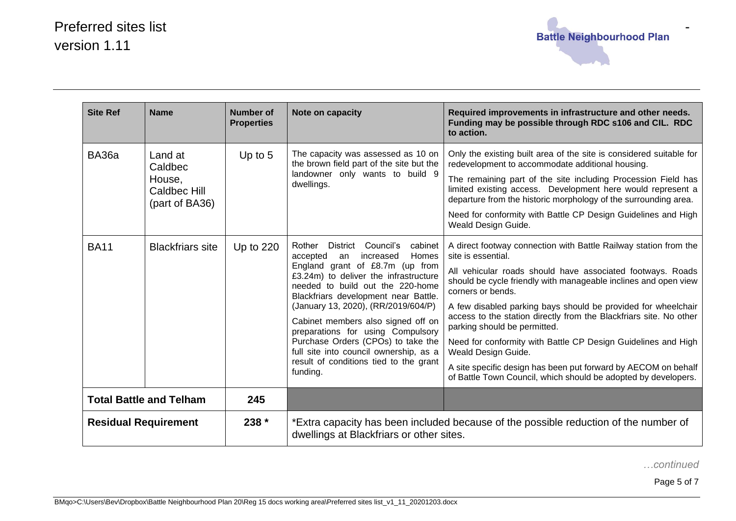

| <b>Site Ref</b>                       | <b>Name</b>                                                           | <b>Number of</b><br><b>Properties</b> | Note on capacity                                                                                                                                                                                                                                                                                                                                                                                                                                                                                   | Required improvements in infrastructure and other needs.<br>Funding may be possible through RDC s106 and CIL. RDC<br>to action.                                                                                                                                                                                                                                                                                                                                                                                                                                                                                                                 |
|---------------------------------------|-----------------------------------------------------------------------|---------------------------------------|----------------------------------------------------------------------------------------------------------------------------------------------------------------------------------------------------------------------------------------------------------------------------------------------------------------------------------------------------------------------------------------------------------------------------------------------------------------------------------------------------|-------------------------------------------------------------------------------------------------------------------------------------------------------------------------------------------------------------------------------------------------------------------------------------------------------------------------------------------------------------------------------------------------------------------------------------------------------------------------------------------------------------------------------------------------------------------------------------------------------------------------------------------------|
| <b>BA36a</b>                          | Land at<br>Caldbec<br>House,<br><b>Caldbec Hill</b><br>(part of BA36) | Up to $5$                             | The capacity was assessed as 10 on<br>the brown field part of the site but the<br>landowner only wants to build 9<br>dwellings.                                                                                                                                                                                                                                                                                                                                                                    | Only the existing built area of the site is considered suitable for<br>redevelopment to accommodate additional housing.<br>The remaining part of the site including Procession Field has<br>limited existing access. Development here would represent a<br>departure from the historic morphology of the surrounding area.<br>Need for conformity with Battle CP Design Guidelines and High<br>Weald Design Guide.                                                                                                                                                                                                                              |
| <b>BA11</b>                           | <b>Blackfriars site</b>                                               | Up to $220$                           | Rother<br>District<br>Council's<br>cabinet<br>Homes<br>accepted<br>increased<br>an<br>England grant of £8.7m (up from<br>£3.24m) to deliver the infrastructure<br>needed to build out the 220-home<br>Blackfriars development near Battle.<br>(January 13, 2020), (RR/2019/604/P)<br>Cabinet members also signed off on<br>preparations for using Compulsory<br>Purchase Orders (CPOs) to take the<br>full site into council ownership, as a<br>result of conditions tied to the grant<br>funding. | A direct footway connection with Battle Railway station from the<br>site is essential.<br>All vehicular roads should have associated footways. Roads<br>should be cycle friendly with manageable inclines and open view<br>corners or bends.<br>A few disabled parking bays should be provided for wheelchair<br>access to the station directly from the Blackfriars site. No other<br>parking should be permitted.<br>Need for conformity with Battle CP Design Guidelines and High<br>Weald Design Guide.<br>A site specific design has been put forward by AECOM on behalf<br>of Battle Town Council, which should be adopted by developers. |
| 245<br><b>Total Battle and Telham</b> |                                                                       |                                       |                                                                                                                                                                                                                                                                                                                                                                                                                                                                                                    |                                                                                                                                                                                                                                                                                                                                                                                                                                                                                                                                                                                                                                                 |
| <b>Residual Requirement</b>           |                                                                       | $238 *$                               | *Extra capacity has been included because of the possible reduction of the number of<br>dwellings at Blackfriars or other sites.                                                                                                                                                                                                                                                                                                                                                                   |                                                                                                                                                                                                                                                                                                                                                                                                                                                                                                                                                                                                                                                 |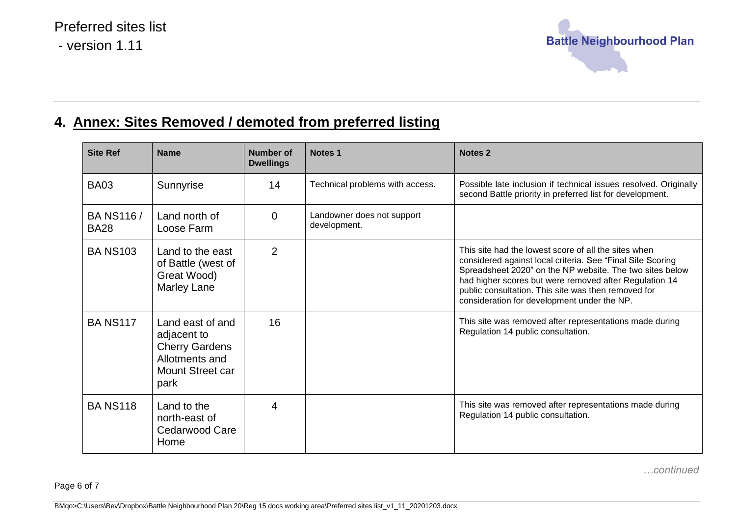

## **4. Annex: Sites Removed / demoted from preferred listing**

| <b>Site Ref</b>                  | <b>Name</b>                                                                                            | Number of<br><b>Dwellings</b> | Notes <sub>1</sub>                         | <b>Notes 2</b>                                                                                                                                                                                                                                                                                                                                 |
|----------------------------------|--------------------------------------------------------------------------------------------------------|-------------------------------|--------------------------------------------|------------------------------------------------------------------------------------------------------------------------------------------------------------------------------------------------------------------------------------------------------------------------------------------------------------------------------------------------|
| <b>BA03</b>                      | Sunnyrise                                                                                              | 14                            | Technical problems with access.            | Possible late inclusion if technical issues resolved. Originally<br>second Battle priority in preferred list for development.                                                                                                                                                                                                                  |
| <b>BA NS116 /</b><br><b>BA28</b> | Land north of<br>Loose Farm                                                                            | 0                             | Landowner does not support<br>development. |                                                                                                                                                                                                                                                                                                                                                |
| <b>BA NS103</b>                  | Land to the east<br>of Battle (west of<br>Great Wood)<br>Marley Lane                                   | $\overline{2}$                |                                            | This site had the lowest score of all the sites when<br>considered against local criteria. See "Final Site Scoring<br>Spreadsheet 2020" on the NP website. The two sites below<br>had higher scores but were removed after Regulation 14<br>public consultation. This site was then removed for<br>consideration for development under the NP. |
| <b>BA NS117</b>                  | Land east of and<br>adjacent to<br><b>Cherry Gardens</b><br>Allotments and<br>Mount Street car<br>park | 16                            |                                            | This site was removed after representations made during<br>Regulation 14 public consultation.                                                                                                                                                                                                                                                  |
| <b>BANS118</b>                   | Land to the<br>north-east of<br>Cedarwood Care<br>Home                                                 | 4                             |                                            | This site was removed after representations made during<br>Regulation 14 public consultation.                                                                                                                                                                                                                                                  |